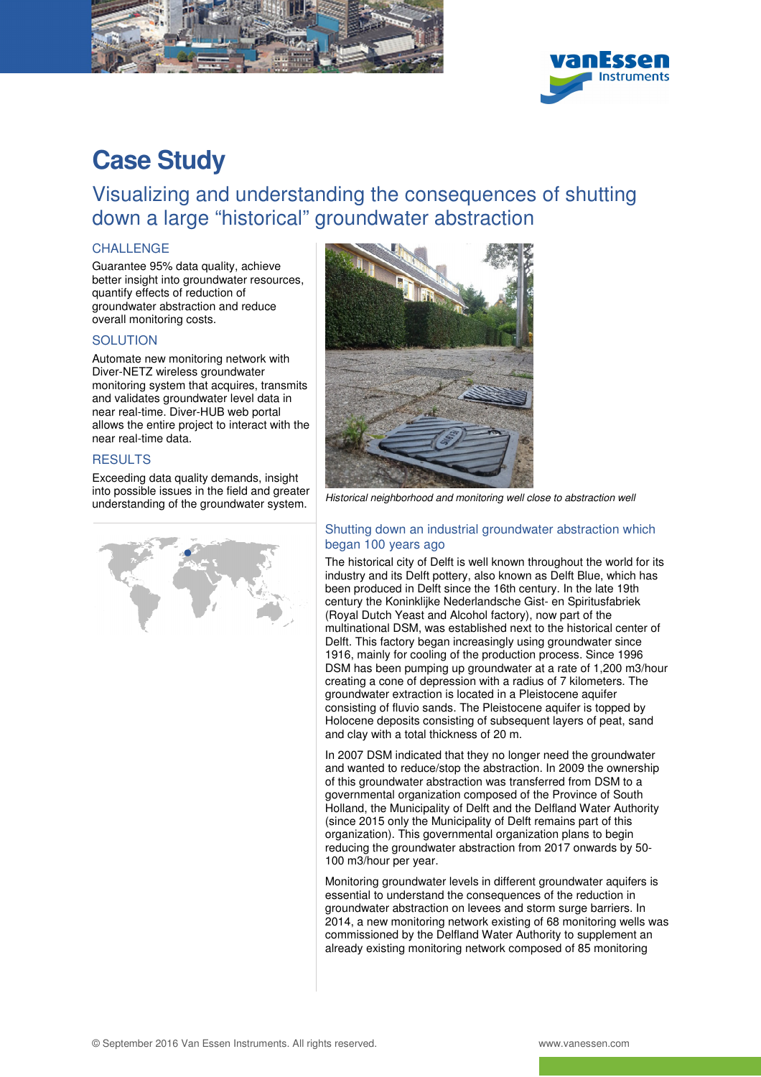



# **Case Study**

Visualizing and understanding the consequences of shutting down a large "historical" groundwater abstraction

## CHALLENGE

Guarantee 95% data quality, achieve better insight into groundwater resources, quantify effects of reduction of groundwater abstraction and reduce overall monitoring costs.

## **SOLUTION**

Automate new monitoring network with Diver-NETZ wireless groundwater monitoring system that acquires, transmits and validates groundwater level data in near real-time. Diver-HUB web portal allows the entire project to interact with the near real-time data.

## **RESULTS**

Exceeding data quality demands, insight into possible issues in the field and greater





Into possible issues in the field and greater Historical neighborhood and monitoring well close to abstraction well<br>understanding of the groundwater system.

### Shutting down an industrial groundwater abstraction which began 100 years ago

The historical city of Delft is well known throughout the world for its industry and its Delft pottery, also known as Delft Blue, which has been produced in Delft since the 16th century. In the late 19th century the Koninklijke Nederlandsche Gist- en Spiritusfabriek (Royal Dutch Yeast and Alcohol factory), now part of the multinational DSM, was established next to the historical center of Delft. This factory began increasingly using groundwater since 1916, mainly for cooling of the production process. Since 1996 DSM has been pumping up groundwater at a rate of 1,200 m3/hour creating a cone of depression with a radius of 7 kilometers. The groundwater extraction is located in a Pleistocene aquifer consisting of fluvio sands. The Pleistocene aquifer is topped by Holocene deposits consisting of subsequent layers of peat, sand and clay with a total thickness of 20 m.

In 2007 DSM indicated that they no longer need the groundwater and wanted to reduce/stop the abstraction. In 2009 the ownership of this groundwater abstraction was transferred from DSM to a governmental organization composed of the Province of South Holland, the Municipality of Delft and the Delfland Water Authority (since 2015 only the Municipality of Delft remains part of this organization). This governmental organization plans to begin reducing the groundwater abstraction from 2017 onwards by 50- 100 m3/hour per year.

Monitoring groundwater levels in different groundwater aquifers is essential to understand the consequences of the reduction in groundwater abstraction on levees and storm surge barriers. In 2014, a new monitoring network existing of 68 monitoring wells was commissioned by the Delfland Water Authority to supplement an already existing monitoring network composed of 85 monitoring